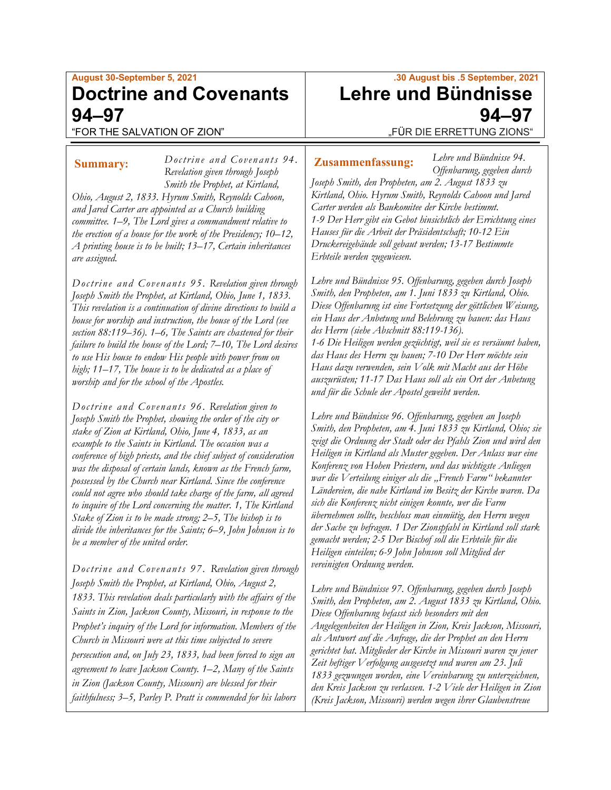# **August 30-September 5, 2021 Doctrine and Covenants 94–97**

"FOR THE SALVATION OF ZION"

*Doctrine and Covenants 94 .* **Summary: Zusammenfassung:***Revelation given through Joseph Smith the Prophet, at Kirtland, Ohio, August 2, 1833. Hyrum Smith, Reynolds Cahoon, and Jared Carter are appointed as a Church building committee. 1–9, The Lord gives a commandment relative to the erection of a house for the work of the Presidency; 10–12, A printing house is to be built; 13–17, Certain inheritances are assigned.*

*Doctrine and Covenants 95. Revelation given through Joseph Smith the Prophet, at Kirtland, Ohio, June 1, 1833. This revelation is a continuation of divine directions to build a house for worship and instruction, the house of the Lord (see section 88:119–36). 1–6, The Saints are chastened for their failure to build the house of the Lord; 7–10, The Lord desires to use His house to endow His people with power from on high; 11–17, The house is to be dedicated as a place of worship and for the school of the Apostles.*

*Doctrine and Covenants 96. Revelation given to Joseph Smith the Prophet, showing the order of the city or stake of Zion at Kirtland, Ohio, June 4, 1833, as an example to the Saints in Kirtland. The occasion was a conference of high priests, and the chief subject of consideration was the disposal of certain lands, known as the French farm, possessed by the Church near Kirtland. Since the conference could not agree who should take charge of the farm, all agreed to inquire of the Lord concerning the matter. 1, The Kirtland Stake of Zion is to be made strong; 2–5, The bishop is to divide the inheritances for the Saints; 6–9, John Johnson is to be a member of the united order.*

*Doctrine and Covenants 97. Revelation given through Joseph Smith the Prophet, at Kirtland, Ohio, August 2, 1833. This revelation deals particularly with the affairs of the Saints in Zion, Jackson County, Missouri, in response to the Prophet's inquiry of the Lord for information. Members of the Church in Missouri were at this time subjected to severe persecution and, on July 23, 1833, had been forced to sign an agreement to leave Jackson County. 1–2, Many of the Saints in Zion (Jackson County, Missouri) are blessed for their faithfulness; 3–5, Parley P. Pratt is commended for his labors* 

## **.30 August bis .5 September, 2021 Lehre und Bündnisse 94–97** "FÜR DIE ERRETTUNG ZIONS"

*Lehre und Bündnisse 94. Offenbarung, gegeben durch* 

*Joseph Smith, den Propheten, am 2. August 1833 zu Kirtland, Ohio. Hyrum Smith, Reynolds Cahoon und Jared Carter werden als Baukomitee der Kirche bestimmt. 1-9 Der Herr gibt ein Gebot hinsichtlich der Errichtung eines Hauses für die Arbeit der Präsidentschaft; 10-12 Ein Druckereigebäude soll gebaut werden; 13-17 Bestimmte Erbteile werden zugewiesen.*

*Lehre und Bündnisse 95. Offenbarung, gegeben durch Joseph Smith, den Propheten, am 1. Juni 1833 zu Kirtland, Ohio. Diese Offenbarung ist eine Fortsetzung der göttlichen Weisung, ein Haus der Anbetung und Belehrung zu bauen: das Haus des Herrn (siehe Abschnitt 88:119-136). 1-6 Die Heiligen werden gezüchtigt, weil sie es versäumt haben, das Haus des Herrn zu bauen; 7-10 Der Herr möchte sein Haus dazu verwenden, sein Volk mit Macht aus der Höhe auszurüsten; 11-17 Das Haus soll als ein Ort der Anbetung und für die Schule der Apostel geweiht werden.*

*Lehre und Bündnisse 96. Offenbarung, gegeben an Joseph Smith, den Propheten, am 4. Juni 1833 zu Kirtland, Ohio; sie zeigt die Ordnung der Stadt oder des Pfahls Zion und wird den Heiligen in Kirtland als Muster gegeben. Der Anlass war eine Konferenz von Hohen Priestern, und das wichtigste Anliegen war die Verteilung einiger als die "French Farm" bekannter Ländereien, die nahe Kirtland im Besitz der Kirche waren. Da sich die Konferenz nicht einigen konnte, wer die Farm übernehmen sollte, beschloss man einmütig, den Herrn wegen der Sache zu befragen. 1 Der Zionspfahl in Kirtland soll stark gemacht werden; 2-5 Der Bischof soll die Erbteile für die Heiligen einteilen; 6-9 John Johnson soll Mitglied der vereinigten Ordnung werden.*

*Lehre und Bündnisse 97. Offenbarung, gegeben durch Joseph Smith, den Propheten, am 2. August 1833 zu Kirtland, Ohio. Diese Offenbarung befasst sich besonders mit den Angelegenheiten der Heiligen in Zion, Kreis Jackson, Missouri, als Antwort auf die Anfrage, die der Prophet an den Herrn gerichtet hat. Mitglieder der Kirche in Missouri waren zu jener Zeit heftiger Verfolgung ausgesetzt und waren am 23. Juli 1833 gezwungen worden, eine Vereinbarung zu unterzeichnen, den Kreis Jackson zu verlassen. 1-2 Viele der Heiligen in Zion (Kreis Jackson, Missouri) werden wegen ihrer Glaubenstreue*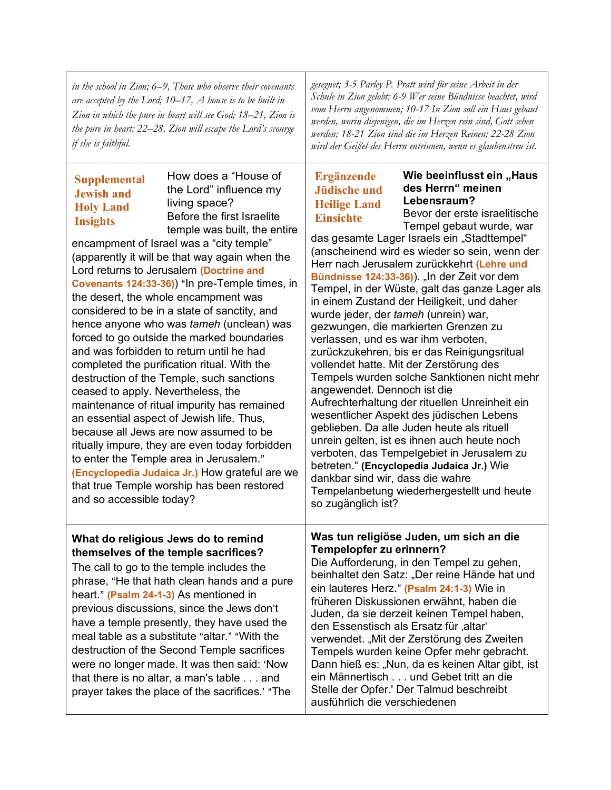| in the school in Zion; $6-9$ , Those who observe their covenants<br>are accepted by the Lord; $10-17$ , A house is to be built in<br>Zion in which the pure in heart will see God; 18–21, Zion is<br>the pure in heart; 22–28, Zion will escape the Lord's scourge<br>if she is faithful.                                                                                                                                                                                                                                                                                                                                                                                                                                                                                                                                                                                                                                                                                                                                                                                                                                                 | gesegnet; 3-5 Parley P. Pratt wird für seine Arbeit in der<br>Schule in Zion gelobt; 6-9 Wer seine Bündnisse beachtet, wird<br>vom Herrn angenommen; 10-17 In Zion soll ein Haus gebaut<br>werden, worin diejenigen, die im Herzen rein sind, Gott sehen<br>werden; 18-21 Zion sind die im Herzen Reinen; 22-28 Zion<br>wird der Geißel des Herrn entrinnen, wenn es glaubenstreu ist.                                                                                                                                                                                                                                                                                                                                                                                                                                                                                                                                                                                                                                                                                                                                                                                                                      |  |
|-------------------------------------------------------------------------------------------------------------------------------------------------------------------------------------------------------------------------------------------------------------------------------------------------------------------------------------------------------------------------------------------------------------------------------------------------------------------------------------------------------------------------------------------------------------------------------------------------------------------------------------------------------------------------------------------------------------------------------------------------------------------------------------------------------------------------------------------------------------------------------------------------------------------------------------------------------------------------------------------------------------------------------------------------------------------------------------------------------------------------------------------|-------------------------------------------------------------------------------------------------------------------------------------------------------------------------------------------------------------------------------------------------------------------------------------------------------------------------------------------------------------------------------------------------------------------------------------------------------------------------------------------------------------------------------------------------------------------------------------------------------------------------------------------------------------------------------------------------------------------------------------------------------------------------------------------------------------------------------------------------------------------------------------------------------------------------------------------------------------------------------------------------------------------------------------------------------------------------------------------------------------------------------------------------------------------------------------------------------------|--|
| How does a "House of<br><b>Supplemental</b><br>the Lord" influence my<br><b>Jewish and</b><br>living space?<br><b>Holy Land</b><br>Before the first Israelite<br><b>Insights</b><br>temple was built, the entire<br>encampment of Israel was a "city temple"<br>(apparently it will be that way again when the<br>Lord returns to Jerusalem (Doctrine and<br>Covenants 124:33-36) "In pre-Temple times, in<br>the desert, the whole encampment was<br>considered to be in a state of sanctity, and<br>hence anyone who was tameh (unclean) was<br>forced to go outside the marked boundaries<br>and was forbidden to return until he had<br>completed the purification ritual. With the<br>destruction of the Temple, such sanctions<br>ceased to apply. Nevertheless, the<br>maintenance of ritual impurity has remained<br>an essential aspect of Jewish life. Thus,<br>because all Jews are now assumed to be<br>ritually impure, they are even today forbidden<br>to enter the Temple area in Jerusalem."<br>(Encyclopedia Judaica Jr.) How grateful are we<br>that true Temple worship has been restored<br>and so accessible today? | Wie beeinflusst ein "Haus<br><b>Ergänzende</b><br>des Herrn" meinen<br><b>Jüdische und</b><br>Lebensraum?<br><b>Heilige Land</b><br>Bevor der erste israelitische<br><b>Einsichte</b><br>Tempel gebaut wurde, war<br>das gesamte Lager Israels ein "Stadttempel"<br>(anscheinend wird es wieder so sein, wenn der<br>Herr nach Jerusalem zurückkehrt (Lehre und<br>Bündnisse 124:33-36)). "In der Zeit vor dem<br>Tempel, in der Wüste, galt das ganze Lager als<br>in einem Zustand der Heiligkeit, und daher<br>wurde jeder, der tameh (unrein) war,<br>gezwungen, die markierten Grenzen zu<br>verlassen, und es war ihm verboten,<br>zurückzukehren, bis er das Reinigungsritual<br>vollendet hatte. Mit der Zerstörung des<br>Tempels wurden solche Sanktionen nicht mehr<br>angewendet. Dennoch ist die<br>Aufrechterhaltung der rituellen Unreinheit ein<br>wesentlicher Aspekt des jüdischen Lebens<br>geblieben. Da alle Juden heute als rituell<br>unrein gelten, ist es ihnen auch heute noch<br>verboten, das Tempelgebiet in Jerusalem zu<br>betreten." (Encyclopedia Judaica Jr.) Wie<br>dankbar sind wir, dass die wahre<br>Tempelanbetung wiederhergestellt und heute<br>so zugänglich ist? |  |
| What do religious Jews do to remind<br>themselves of the temple sacrifices?<br>The call to go to the temple includes the<br>phrase, "He that hath clean hands and a pure<br>heart." (Psalm 24-1-3) As mentioned in<br>previous discussions, since the Jews don't<br>have a temple presently, they have used the<br>meal table as a substitute "altar." "With the<br>destruction of the Second Temple sacrifices<br>were no longer made. It was then said: 'Now<br>that there is no altar, a man's table and<br>prayer takes the place of the sacrifices.' "The                                                                                                                                                                                                                                                                                                                                                                                                                                                                                                                                                                            | Was tun religiöse Juden, um sich an die<br>Tempelopfer zu erinnern?<br>Die Aufforderung, in den Tempel zu gehen,<br>beinhaltet den Satz: "Der reine Hände hat und<br>ein lauteres Herz." (Psalm 24:1-3) Wie in<br>früheren Diskussionen erwähnt, haben die<br>Juden, da sie derzeit keinen Tempel haben,<br>den Essenstisch als Ersatz für "altar"<br>verwendet. "Mit der Zerstörung des Zweiten<br>Tempels wurden keine Opfer mehr gebracht.<br>Dann hieß es: "Nun, da es keinen Altar gibt, ist<br>ein Männertisch und Gebet tritt an die<br>Stelle der Opfer.' Der Talmud beschreibt<br>ausführlich die verschiedenen                                                                                                                                                                                                                                                                                                                                                                                                                                                                                                                                                                                    |  |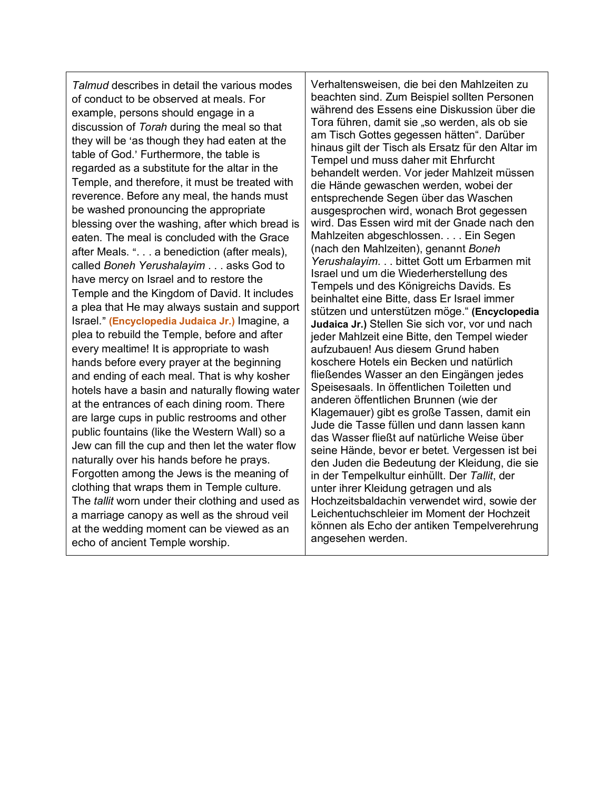*Talmud* describes in detail the various modes of conduct to be observed at meals. For example, persons should engage in a discussion of *Torah* during the meal so that they will be 'as though they had eaten at the table of God.' Furthermore, the table is regarded as a substitute for the altar in the Temple, and therefore, it must be treated with reverence. Before any meal, the hands must be washed pronouncing the appropriate blessing over the washing, after which bread is eaten. The meal is concluded with the Grace after Meals. ". . . a benediction (after meals), called *Boneh Yerushalayim* . . . asks God to have mercy on Israel and to restore the Temple and the Kingdom of David. It includes a plea that He may always sustain and support Israel.@ **(Encyclopedia Judaica Jr.)** Imagine, a plea to rebuild the Temple, before and after every mealtime! It is appropriate to wash hands before every prayer at the beginning and ending of each meal. That is why kosher hotels have a basin and naturally flowing water at the entrances of each dining room. There are large cups in public restrooms and other public fountains (like the Western Wall) so a Jew can fill the cup and then let the water flow naturally over his hands before he prays. Forgotten among the Jews is the meaning of clothing that wraps them in Temple culture. The *tallit* worn under their clothing and used as a marriage canopy as well as the shroud veil at the wedding moment can be viewed as an echo of ancient Temple worship.

Verhaltensweisen, die bei den Mahlzeiten zu beachten sind. Zum Beispiel sollten Personen während des Essens eine Diskussion über die Tora führen, damit sie "so werden, als ob sie am Tisch Gottes gegessen hätten". Darüber hinaus gilt der Tisch als Ersatz für den Altar im Tempel und muss daher mit Ehrfurcht behandelt werden. Vor jeder Mahlzeit müssen die Hände gewaschen werden, wobei der entsprechende Segen über das Waschen ausgesprochen wird, wonach Brot gegessen wird. Das Essen wird mit der Gnade nach den Mahlzeiten abgeschlossen. . . . Ein Segen (nach den Mahlzeiten), genannt *Boneh Yerushalayim*. . . bittet Gott um Erbarmen mit Israel und um die Wiederherstellung des Tempels und des Königreichs Davids. Es beinhaltet eine Bitte, dass Er Israel immer stützen und unterstützen möge." **(Encyclopedia Judaica Jr.)** Stellen Sie sich vor, vor und nach jeder Mahlzeit eine Bitte, den Tempel wieder aufzubauen! Aus diesem Grund haben koschere Hotels ein Becken und natürlich fließendes Wasser an den Eingängen jedes Speisesaals. In öffentlichen Toiletten und anderen öffentlichen Brunnen (wie der Klagemauer) gibt es große Tassen, damit ein Jude die Tasse füllen und dann lassen kann das Wasser fließt auf natürliche Weise über seine Hände, bevor er betet. Vergessen ist bei den Juden die Bedeutung der Kleidung, die sie in der Tempelkultur einhüllt. Der *Tallit*, der unter ihrer Kleidung getragen und als Hochzeitsbaldachin verwendet wird, sowie der Leichentuchschleier im Moment der Hochzeit können als Echo der antiken Tempelverehrung angesehen werden.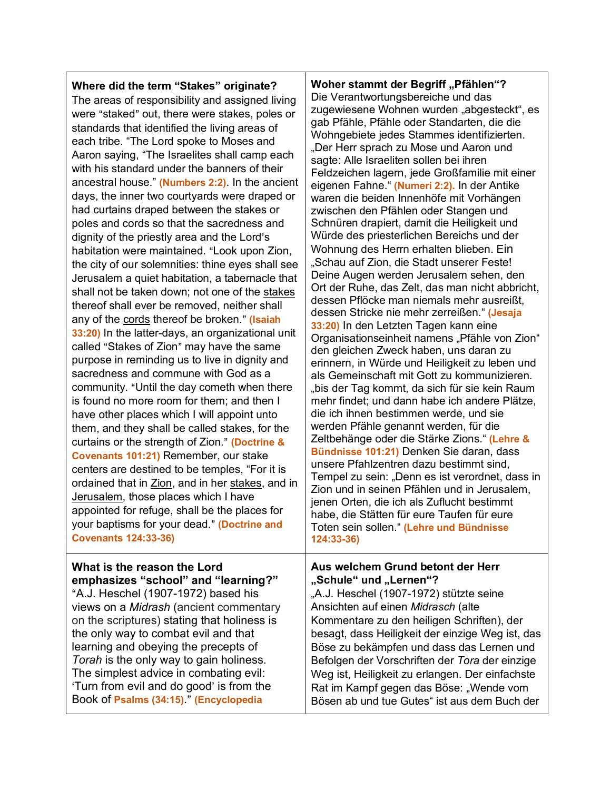| Where did the term "Stakes" originate?          | <b>Woher stamn</b>          |
|-------------------------------------------------|-----------------------------|
| The areas of responsibility and assigned living | Die Verantwo                |
| were "staked" out, there were stakes, poles or  | zugewiesene<br>nah Pfähle P |

standards that identified the living areas of each tribe. "The Lord spoke to Moses and Aaron saying, "The Israelites shall camp each with his standard under the banners of their ancestral house." **(Numbers 2:2)**. In the ancient days, the inner two courtyards were draped or had curtains draped between the stakes or poles and cords so that the sacredness and dignity of the priestly area and the Lord's habitation were maintained. "Look upon Zion, the city of our solemnities: thine eyes shall see Jerusalem a quiet habitation, a tabernacle that shall not be taken down; not one of the stakes thereof shall ever be removed, neither shall any of the cords thereof be broken." (Isaiah **33:20)** In the latter-days, an organizational unit called "Stakes of Zion" may have the same purpose in reminding us to live in dignity and sacredness and commune with God as a community. "Until the day cometh when there is found no more room for them; and then I have other places which I will appoint unto them, and they shall be called stakes, for the curtains or the strength of Zion.@ **(Doctrine & Covenants 101:21)** Remember, our stake centers are destined to be temples, "For it is ordained that in Zion, and in her stakes, and in Jerusalem, those places which I have appointed for refuge, shall be the places for your baptisms for your dead." (Doctrine and **Covenants 124:33-36)**

**What is the reason the Lord emphasizes "school" and "learning?"** "A.J. Heschel  $(1907-1972)$  based his views on a *Midrash* (ancient commentary on the scriptures) stating that holiness is the only way to combat evil and that learning and obeying the precepts of *Torah* is the only way to gain holiness. The simplest advice in combating evil: 'Turn from evil and do good' is from the Book of **Psalms (34:15)**.@ **(Encyclopedia** 

**Moher Begriff "Pfählen"?** rtungsbereiche und das Wohnen wurden "abgesteckt", es gab Pfähle, Pfähle oder Standarten, die die Wohngebiete jedes Stammes identifizierten. "Der Herr sprach zu Mose und Aaron und sagte: Alle Israeliten sollen bei ihren Feldzeichen lagern, jede Großfamilie mit einer eigenen Fahne." **(Numeri 2:2).** In der Antike waren die beiden Innenhöfe mit Vorhängen zwischen den Pfählen oder Stangen und Schnüren drapiert, damit die Heiligkeit und Würde des priesterlichen Bereichs und der Wohnung des Herrn erhalten blieben. Ein "Schau auf Zion, die Stadt unserer Feste! Deine Augen werden Jerusalem sehen, den Ort der Ruhe, das Zelt, das man nicht abbricht, dessen Pflöcke man niemals mehr ausreißt, dessen Stricke nie mehr zerreißen." **(Jesaja 33:20)** In den Letzten Tagen kann eine Organisationseinheit namens "Pfähle von Zion" den gleichen Zweck haben, uns daran zu erinnern, in Würde und Heiligkeit zu leben und als Gemeinschaft mit Gott zu kommunizieren. "bis der Tag kommt, da sich für sie kein Raum mehr findet; und dann habe ich andere Plätze, die ich ihnen bestimmen werde, und sie werden Pfähle genannt werden, für die Zeltbehänge oder die Stärke Zions." **(Lehre & Bündnisse 101:21)** Denken Sie daran, dass unsere Pfahlzentren dazu bestimmt sind, Tempel zu sein: "Denn es ist verordnet, dass in Zion und in seinen Pfählen und in Jerusalem, jenen Orten, die ich als Zuflucht bestimmt habe, die Stätten für eure Taufen für eure Toten sein sollen." **(Lehre und Bündnisse 124:33-36)**

### **Aus welchem Grund betont der Herr**  "Schule" und "Lernen"?

"A.J. Heschel (1907-1972) stützte seine Ansichten auf einen *Midrasch* (alte Kommentare zu den heiligen Schriften), der besagt, dass Heiligkeit der einzige Weg ist, das Böse zu bekämpfen und dass das Lernen und Befolgen der Vorschriften der *Tora* der einzige Weg ist, Heiligkeit zu erlangen. Der einfachste Rat im Kampf gegen das Böse: "Wende vom Bösen ab und tue Gutes" ist aus dem Buch der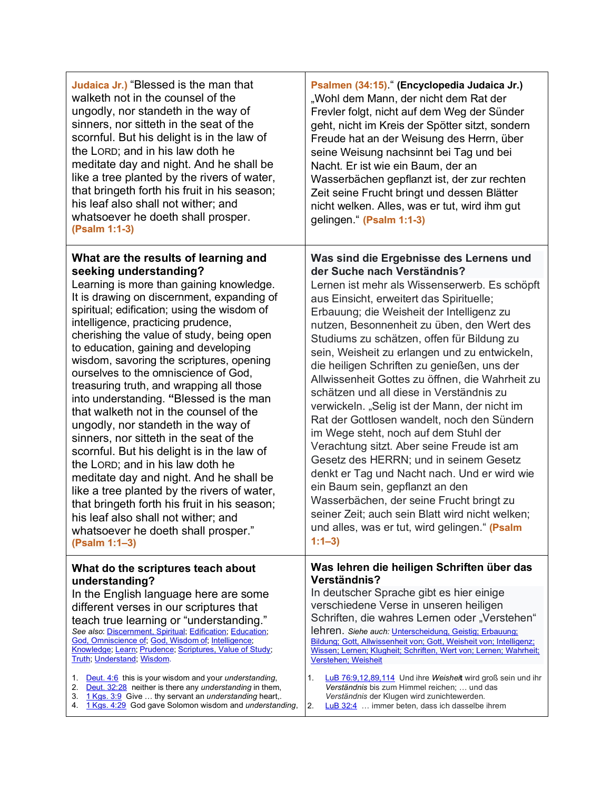| <b>Judaica Jr.)</b> "Blessed is the man that<br>walketh not in the counsel of the<br>ungodly, nor standeth in the way of<br>sinners, nor sitteth in the seat of the<br>scornful. But his delight is in the law of<br>the LORD; and in his law doth he<br>meditate day and night. And he shall be<br>like a tree planted by the rivers of water,<br>that bringeth forth his fruit in his season;<br>his leaf also shall not wither; and<br>whatsoever he doeth shall prosper.<br>(Psalm 1:1-3)                                                                                                                                                                                                                                                                                                                                                                                                                                                                        | Psalmen (34:15)." (Encyclopedia Judaica Jr.)<br>"Wohl dem Mann, der nicht dem Rat der<br>Frevler folgt, nicht auf dem Weg der Sünder<br>geht, nicht im Kreis der Spötter sitzt, sondern<br>Freude hat an der Weisung des Herrn, über<br>seine Weisung nachsinnt bei Tag und bei<br>Nacht. Er ist wie ein Baum, der an<br>Wasserbächen gepflanzt ist, der zur rechten<br>Zeit seine Frucht bringt und dessen Blätter<br>nicht welken. Alles, was er tut, wird ihm gut<br>gelingen." (Psalm 1:1-3)                                                                                                                                                                                                                                                                                                                                                                                                                                                                                           |
|----------------------------------------------------------------------------------------------------------------------------------------------------------------------------------------------------------------------------------------------------------------------------------------------------------------------------------------------------------------------------------------------------------------------------------------------------------------------------------------------------------------------------------------------------------------------------------------------------------------------------------------------------------------------------------------------------------------------------------------------------------------------------------------------------------------------------------------------------------------------------------------------------------------------------------------------------------------------|--------------------------------------------------------------------------------------------------------------------------------------------------------------------------------------------------------------------------------------------------------------------------------------------------------------------------------------------------------------------------------------------------------------------------------------------------------------------------------------------------------------------------------------------------------------------------------------------------------------------------------------------------------------------------------------------------------------------------------------------------------------------------------------------------------------------------------------------------------------------------------------------------------------------------------------------------------------------------------------------|
| What are the results of learning and<br>seeking understanding?<br>Learning is more than gaining knowledge.<br>It is drawing on discernment, expanding of<br>spiritual; edification; using the wisdom of<br>intelligence, practicing prudence,<br>cherishing the value of study, being open<br>to education, gaining and developing<br>wisdom, savoring the scriptures, opening<br>ourselves to the omniscience of God,<br>treasuring truth, and wrapping all those<br>into understanding. "Blessed is the man<br>that walketh not in the counsel of the<br>ungodly, nor standeth in the way of<br>sinners, nor sitteth in the seat of the<br>scornful. But his delight is in the law of<br>the LORD; and in his law doth he<br>meditate day and night. And he shall be<br>like a tree planted by the rivers of water,<br>that bringeth forth his fruit in his season;<br>his leaf also shall not wither; and<br>whatsoever he doeth shall prosper."<br>(Psalm 1:1-3) | Was sind die Ergebnisse des Lernens und<br>der Suche nach Verständnis?<br>Lernen ist mehr als Wissenserwerb. Es schöpft<br>aus Einsicht, erweitert das Spirituelle;<br>Erbauung; die Weisheit der Intelligenz zu<br>nutzen, Besonnenheit zu üben, den Wert des<br>Studiums zu schätzen, offen für Bildung zu<br>sein, Weisheit zu erlangen und zu entwickeln,<br>die heiligen Schriften zu genießen, uns der<br>Allwissenheit Gottes zu öffnen, die Wahrheit zu<br>schätzen und all diese in Verständnis zu<br>verwickeln. "Selig ist der Mann, der nicht im<br>Rat der Gottlosen wandelt, noch den Sündern<br>im Wege steht, noch auf dem Stuhl der<br>Verachtung sitzt. Aber seine Freude ist am<br>Gesetz des HERRN; und in seinem Gesetz<br>denkt er Tag und Nacht nach. Und er wird wie<br>ein Baum sein, gepflanzt an den<br>Wasserbächen, der seine Frucht bringt zu<br>seiner Zeit; auch sein Blatt wird nicht welken;<br>und alles, was er tut, wird gelingen." (Psalm<br>$1:1-3$ |
| What do the scriptures teach about<br>understanding?<br>In the English language here are some<br>different verses in our scriptures that<br>teach true learning or "understanding."<br>See also: Discernment, Spiritual, Edification, Education,<br>God, Omniscience of; God, Wisdom of; Intelligence;                                                                                                                                                                                                                                                                                                                                                                                                                                                                                                                                                                                                                                                               | Was lehren die heiligen Schriften über das<br>Verständnis?<br>In deutscher Sprache gibt es hier einige<br>verschiedene Verse in unseren heiligen<br>Schriften, die wahres Lernen oder "Verstehen"<br>lehren. Siehe auch: Unterscheidung, Geistig; Erbauung;<br>Bildung; Gott, Allwissenheit von; Gott, Weisheit von; Intelligenz;                                                                                                                                                                                                                                                                                                                                                                                                                                                                                                                                                                                                                                                          |

Knowledge; Learn; Prudence; Scriptures, Value of Study; Truth; Understand; Wisdom.

- 1. Deut. 4:6 this is your wisdom and your *understanding*,
- 2. Deut. 32:28 neither is there any *understanding* in them,
- 3. 1 Kgs. 3:9 Give … thy servant an *understanding* heart,.
- 4. 1 Kgs. 4:29 God gave Solomon wisdom and *understanding*,

Bildung; Gott, Allwissenheit von; Gott, Weisheit von; Intelligenz; Wissen; Lernen; Klugheit; Schriften, Wert von; Lernen; Wahrheit; Verstehen; Weisheit

- 1. LuB 76:9,12,89,114Und ihre *Weishei***t** wird groß sein und ihr *Verständnis* bis zum Himmel reichen; … und das *Verständnis* der Klugen wird zunichtewerden.
- 2. LuB 32:4… immer beten, dass ich dasselbe ihrem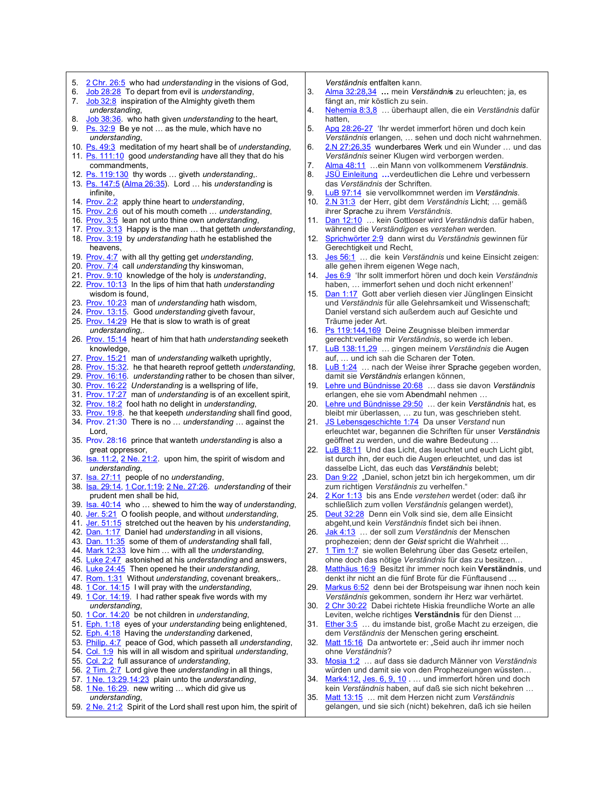- 5. 2 Chr. 26:5 who had *understanding* in the visions of God,
- 6. Job 28:28 To depart from evil is *understanding*,
- 7. Job 32:8 inspiration of the Almighty giveth them *understanding*,
- 8. Job 38:36. who hath given *understanding* to the heart,
- 9. Ps.  $32:9$  Be ye not ... as the mule, which have no *understanding*,
- 10. Ps. 49:3 meditation of my heart shall be of *understanding*,
- 11. Ps. 111:10 good *understanding* have all they that do his commandments,
- 12. Ps. 119:130 thy words … giveth *understanding*,.
- 13. Ps. 147:5 (Alma 26:35). Lord … his *understanding* is infinite,
- 14. Prov. 2:2 apply thine heart to *understanding*,
- 15. Prov. 2:6 out of his mouth cometh … *understanding*,
- 16. Prov. 3:5 lean not unto thine own *understanding*,
- 17. Prov. 3:13 Happy is the man … that getteth *understanding*, 18. Prov. 3:19 by *understanding* hath he established the
- heavens, 19. Prov. 4:7 with all thy getting get *understanding*,
- 20. Prov. 7:4 call *understanding* thy kinswoman,
- 21. Prov. 9:10 knowledge of the holy is *understanding*,
- 22. Prov. 10:13 In the lips of him that hath *understanding* wisdom is found,
- 23. Prov. 10:23 man of *understanding* hath wisdom,
- 24. Prov. 13:15. Good *understanding* giveth favour,
- 25. Prov. 14:29 He that is slow to wrath is of great *understanding*,.
- 26. Prov. 15:14 heart of him that hath *understanding* seeketh knowledge,
- 27. Prov. 15:21 man of *understanding* walketh uprightly,
- 28. Prov. 15:32. he that heareth reproof getteth *understanding*,
- 29. Prov. 16:16. *understanding* rather to be chosen than silver,
- 30. Prov. 16:22 *Understanding* is a wellspring of life,
- 31. Prov. 17:27 man of *understanding* is of an excellent spirit,
- 32. Prov. 18:2 fool hath no delight in *understanding*,
- 33. Prov. 19:8. he that keepeth *understanding* shall find good, 34. Prov. 21:30 There is no … *understanding* … against the
- Lord, 35. Prov. 28:16 prince that wanteth *understanding* is also a
- great oppressor,
- 36. Isa. 11:2, 2 Ne. 21:2. upon him, the spirit of wisdom and *understanding*,
- 37. Isa. 27:11 people of no *understanding*,
- 38. Isa. 29:14, 1 Cor.1:19; 2 Ne. 27:26. *understanding* of their prudent men shall be hid,
- 39. Isa. 40:14 who … shewed to him the way of *understanding*,
- 40. Jer. 5:21 O foolish people, and without *understanding*,
- 41. Jer. 51:15 stretched out the heaven by his *understanding*,
- 42. Dan. 1:17 Daniel had *understanding* in all visions,
- 43. Dan. 11:35 some of them of *understanding* shall fall,
- 44. Mark 12:33 love him … with all the *understanding*,
- 45. Luke 2:47 astonished at his *understanding* and answers,
- 46. Luke 24:45 Then opened he their *understanding*,
- 47. Rom. 1:31 Without *understanding*, covenant breakers,.
- 48. 1 Cor. 14:15 I will pray with the *understanding*,
- 49. 1 Cor. 14:19. I had rather speak five words with my *understanding*,
- 50. 1 Cor. 14:20 be not children in *understanding*,
- 51. Eph. 1:18 eyes of your *understanding* being enlightened,
- 52. Eph. 4:18 Having the *understanding* darkened,
- 53. Philip. 4:7 peace of God, which passeth all *understanding*,
- 54. Col. 1:9 his will in all wisdom and spiritual *understanding*,
- 55. Col. 2:2 full assurance of *understanding*,
- 56. 2 Tim. 2:7 Lord give thee *understanding* in all things,
- 57. 1 Ne. 13:29,14:23 plain unto the *understanding*, 58.  $1$  Ne.  $16:29$  new writing ... which did give us
- *understanding*,
- 59. 2 Ne. 21:2 Spirit of the Lord shall rest upon him, the spirit of
- *Verständnis* entfalten kann.
- 3. Alma 32:28,34 **…** mein *Verständni***s** zu erleuchten; ja, es fängt an, mir köstlich zu sein.
- 4. Nehemia 8:3,8… überhaupt allen, die ein *Verständnis* dafür hatten,
- 5. Apg 28:26-27'Ihr werdet immerfort hören und doch kein *Verständnis* erlangen, … sehen und doch nicht wahrnehmen.
- 6. 2.N 27:26,35 wunderbares Werk und ein Wunder … und das *Verständnis* seiner Klugen wird verborgen werden.
- 7. Alma 48:11 …ein Mann von vollkommenem *Verständnis*.
- 8. JSÜ Einleitung **…**verdeutlichen die Lehre und verbessern das *Verständnis* der Schriften.
- 9. LuB 97:14 sie vervollkommnet werden im *Verständnis*.
- 2.N 31:3 der Herr, gibt dem Verständnis Licht; ... gemäß ihrer Sprache zu ihrem *Verständnis*.
- 11. Dan 12:10… kein Gottloser wird *Verständnis* dafür haben, während die *Verständigen* es *verstehen* werden.
- 12. Sprichwörter 2:9dann wirst du *Verständnis* gewinnen für Gerechtigkeit und Recht,
- 13. Jes 56:1… die kein *Verständnis* und keine Einsicht zeigen: alle gehen ihrem eigenen Wege nach,
- 14. Jes 6:9'Ihr sollt immerfort hören und doch kein *Verständnis* haben, … immerfort sehen und doch nicht erkennen!'
- 15. Dan 1:17Gott aber verlieh diesen vier Jünglingen Einsicht und *Verständnis* für alle Gelehrsamkeit und Wissenschaft; Daniel verstand sich außerdem auch auf Gesichte und Träume jeder Art.
- 16. Ps 119:144,169 Deine Zeugnisse bleiben immerdar gerecht:verleihe mir *Verständnis*, so werde ich leben.
- 17. LuB 138:11,29… gingen meinem *Verständnis* die Augen auf, … und ich sah die Scharen der Toten.
- 18. LuB 1:24… nach der Weise ihrer Sprache gegeben worden, damit sie *Verständnis* erlangen können,
- 19. Lehre und Bündnisse 20:68 *…* dass sie davon *Verständnis* erlangen, ehe sie vom Abendmahl nehmen …
- 20. Lehre und Bündnisse 29:50… der kein *Verständnis* hat, es bleibt mir überlassen, … zu tun, was geschrieben steht.
- 21. JS Lebensgeschichte 1:74 Da unser *Verstand* nun erleuchtet war, begannen die Schriften für unser *Verständnis* geöffnet zu werden, und die wahre Bedeutung …
- 22. LuB 88:11Und das Licht, das leuchtet und euch Licht gibt, ist durch ihn, der euch die Augen erleuchtet, und das ist dasselbe Licht, das euch das *Verständnis* belebt;
- 23. Dan 9:22 "Daniel, schon jetzt bin ich hergekommen, um dir zum richtigen *Verständnis* zu verhelfen."
- 24. 2 Kor 1:13bis ans Ende *verstehen* werdet (oder: daß ihr schließlich zum vollen *Verständnis* gelangen werdet),
- 25. Deut 32:28Denn ein Volk sind sie, dem alle Einsicht abgeht,und kein *Verständnis* findet sich bei ihnen.
- 26. Jak 4:13… der soll zum *Verständnis* der Menschen prophezeien; denn der *Geist* spricht die Wahrheit …
- 27. 1 Tim 1:7sie wollen Belehrung über das Gesetz erteilen, ohne doch das nötige *Verständnis* für das zu besitzen…
- 28. Matthäus 16:9Besitzt ihr immer noch kein **Verständnis**, und denkt ihr nicht an die fünf Brote für die Fünftausend …
- 29. Markus 6:52denn bei der Brotspeisung war ihnen noch kein *Verständnis* gekommen, sondern ihr Herz war verhärtet.
- 30. 2 Chr 30:22Dabei richtete Hiskia freundliche Worte an alle Leviten, welche richtiges **Verständnis** für den Dienst ...
- 31. Ether 3:5… du imstande bist, große Macht zu erzeigen, die dem *Verständnis* der Menschen gering erscheint.
- 32. Matt 15:16 Da antwortete er: "Seid auch ihr immer noch ohne *Verständnis*?
- 33. Mosia 1:2… auf dass sie dadurch Männer von *Verständnis* würden und damit sie von den Prophezeiungen wüssten…
- 34. Mark4:12, Jes. 6, 9, 10 ... und immerfort hören und doch kein *Verständnis* haben, auf daß sie sich nicht bekehren …
- 35. Matt 13:15… mit dem Herzen nicht zum *Verständnis* gelangen, und sie sich (nicht) bekehren, daß ich sie heilen